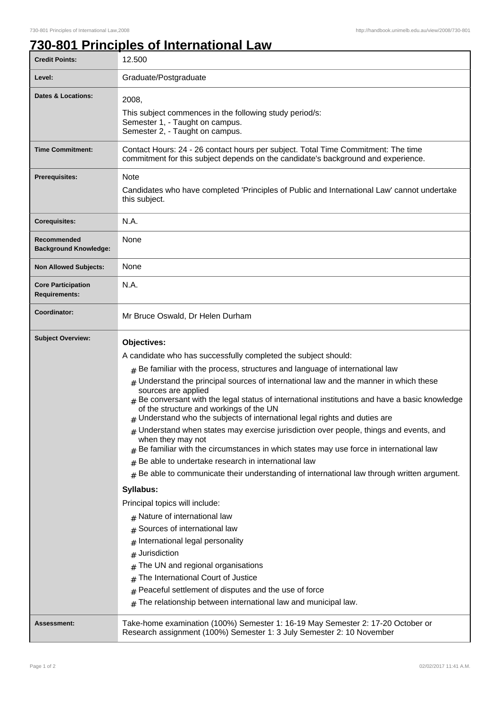## **730-801 Principles of International Law**

| <b>Credit Points:</b>                             | 12.500                                                                                                                                                                                                                                                                                                                                                                                                                                                                                                                                                                                                                                                                                                                                                                                                                                                                                                                                                                                                                                                                                                                                                                                                                                                                                             |
|---------------------------------------------------|----------------------------------------------------------------------------------------------------------------------------------------------------------------------------------------------------------------------------------------------------------------------------------------------------------------------------------------------------------------------------------------------------------------------------------------------------------------------------------------------------------------------------------------------------------------------------------------------------------------------------------------------------------------------------------------------------------------------------------------------------------------------------------------------------------------------------------------------------------------------------------------------------------------------------------------------------------------------------------------------------------------------------------------------------------------------------------------------------------------------------------------------------------------------------------------------------------------------------------------------------------------------------------------------------|
| Level:                                            | Graduate/Postgraduate                                                                                                                                                                                                                                                                                                                                                                                                                                                                                                                                                                                                                                                                                                                                                                                                                                                                                                                                                                                                                                                                                                                                                                                                                                                                              |
| <b>Dates &amp; Locations:</b>                     | 2008,<br>This subject commences in the following study period/s:<br>Semester 1, - Taught on campus.<br>Semester 2, - Taught on campus.                                                                                                                                                                                                                                                                                                                                                                                                                                                                                                                                                                                                                                                                                                                                                                                                                                                                                                                                                                                                                                                                                                                                                             |
| <b>Time Commitment:</b>                           | Contact Hours: 24 - 26 contact hours per subject. Total Time Commitment: The time<br>commitment for this subject depends on the candidate's background and experience.                                                                                                                                                                                                                                                                                                                                                                                                                                                                                                                                                                                                                                                                                                                                                                                                                                                                                                                                                                                                                                                                                                                             |
| <b>Prerequisites:</b>                             | <b>Note</b><br>Candidates who have completed 'Principles of Public and International Law' cannot undertake<br>this subject.                                                                                                                                                                                                                                                                                                                                                                                                                                                                                                                                                                                                                                                                                                                                                                                                                                                                                                                                                                                                                                                                                                                                                                        |
| <b>Corequisites:</b>                              | N.A.                                                                                                                                                                                                                                                                                                                                                                                                                                                                                                                                                                                                                                                                                                                                                                                                                                                                                                                                                                                                                                                                                                                                                                                                                                                                                               |
| Recommended<br><b>Background Knowledge:</b>       | None                                                                                                                                                                                                                                                                                                                                                                                                                                                                                                                                                                                                                                                                                                                                                                                                                                                                                                                                                                                                                                                                                                                                                                                                                                                                                               |
| <b>Non Allowed Subjects:</b>                      | None                                                                                                                                                                                                                                                                                                                                                                                                                                                                                                                                                                                                                                                                                                                                                                                                                                                                                                                                                                                                                                                                                                                                                                                                                                                                                               |
| <b>Core Participation</b><br><b>Requirements:</b> | N.A.                                                                                                                                                                                                                                                                                                                                                                                                                                                                                                                                                                                                                                                                                                                                                                                                                                                                                                                                                                                                                                                                                                                                                                                                                                                                                               |
| Coordinator:                                      | Mr Bruce Oswald, Dr Helen Durham                                                                                                                                                                                                                                                                                                                                                                                                                                                                                                                                                                                                                                                                                                                                                                                                                                                                                                                                                                                                                                                                                                                                                                                                                                                                   |
| <b>Subject Overview:</b>                          | Objectives:<br>A candidate who has successfully completed the subject should:<br>$#$ Be familiar with the process, structures and language of international law<br>$#$ Understand the principal sources of international law and the manner in which these<br>sources are applied<br>Be conversant with the legal status of international institutions and have a basic knowledge<br>$\pm$<br>of the structure and workings of the UN<br>$#$ Understand who the subjects of international legal rights and duties are<br>$_{\#}$ Understand when states may exercise jurisdiction over people, things and events, and<br>when they may not<br>Be familiar with the circumstances in which states may use force in international law<br>#<br>Be able to undertake research in international law<br>#<br>Be able to communicate their understanding of international law through written argument.<br>#<br>Syllabus:<br>Principal topics will include:<br>$#$ Nature of international law<br>Sources of international law<br>#<br>International legal personality<br>#<br>Jurisdiction<br>The UN and regional organisations<br>The International Court of Justice<br>Peaceful settlement of disputes and the use of force<br>#<br>The relationship between international law and municipal law.<br># |
| <b>Assessment:</b>                                | Take-home examination (100%) Semester 1: 16-19 May Semester 2: 17-20 October or<br>Research assignment (100%) Semester 1: 3 July Semester 2: 10 November                                                                                                                                                                                                                                                                                                                                                                                                                                                                                                                                                                                                                                                                                                                                                                                                                                                                                                                                                                                                                                                                                                                                           |